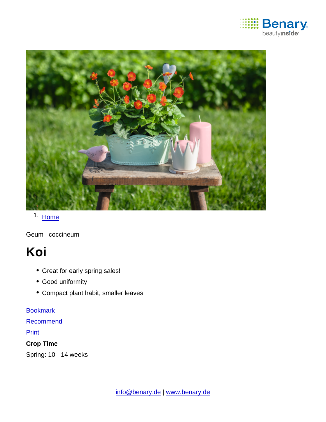

### 1. [Home](https://www.benary.com/)

Geum coccineum

# Koi

- Great for early spring sales!
- Good uniformity
- Compact plant habit, smaller leaves

#### [Bookmark](https://www.benary.com/flag/flag/product/5920?destination&token=hYzTizYD8D50W-9Ax7OXhqe6dGxgeEkAZUCdKNzq9sE)

**[Recommend](mailto:?subject=Benary Geum coccineum &body=https://www.benary.com/print/pdf/node/5920)** 

**Print** 

Crop Time

Spring: 10 - 14 weeks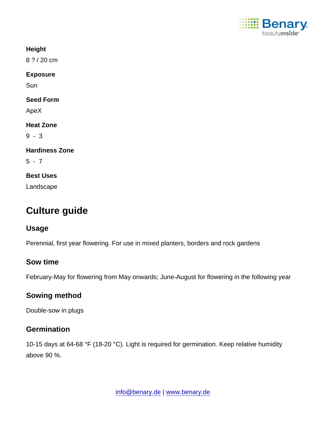

**Height** 

8 ? / 20 cm

Exposure

Sun

Seed Form

ApeX

Heat Zone

9 - 3

Hardiness Zone

 $5 - 7$ 

Best Uses

Landscape

## Culture guide

Usage

Perennial, first year flowering. For use in mixed planters, borders and rock gardens

#### Sow time

February-May for flowering from May onwards; June-August for flowering in the following year

Sowing method

Double-sow in plugs

#### **Germination**

10-15 days at 64-68 °F (18-20 °C). Light is required for germination. Keep relative humidity above 90 %.